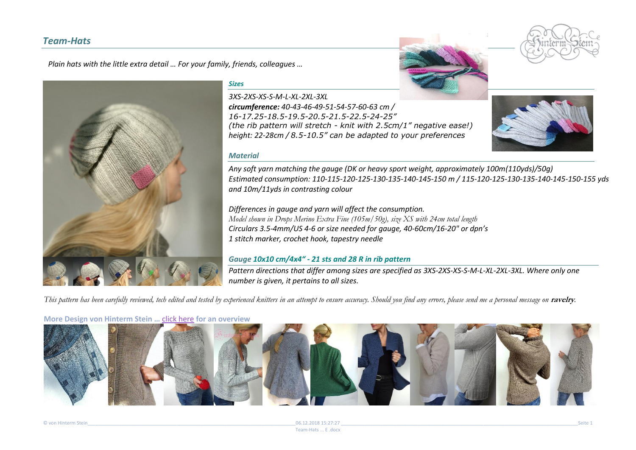# *Team-Hats*

*Plain hats with the little extra detail … For your family, friends, colleagues …* 



#### *Sizes*

*3XS-2XS-XS-S-M-L-XL-2XL-3XL circumference: 40-43-46-49-51-54-57-60-63 cm / 16-17.25-18.5-19.5-20.5-21.5-22.5-24-25" (the rib pattern will stretch - knit with 2.5cm/1" negative ease!) height: 22-28cm / 8.5-10.5" can be adapted to your preferences*



*Any soft yarn matching the gauge (DK or heavy sport weight, approximately 100m(110yds)/50g) Estimated consumption: 110-115-120-125-130-135-140-145-150 m / 115-120-125-130-135-140-145-150-155 yds and 10m/11yds in contrasting colour*

*Differences in gauge and yarn will affect the consumption. Model shown in Drops Merino Extra Fine (105m/50g), size XS with 24cm total length Circulars 3.5-4mm/US 4-6 or size needed for gauge, 40-60cm/16-20" or dpn's 1 stitch marker, crochet hook, tapestry needle*

### *Gauge 10x10 cm/4x4" - 21 sts and 28 R in rib pattern*

*Pattern directions that differ among sizes are specified as 3XS-2XS-XS-S-M-L-XL-2XL-3XL. Where only one number is given, it pertains to all sizes.* 

This pattern has been carefully reviewed, tech edited and tested by experienced knitters in an attempt to ensure accuracy. Should you find any errors, please send me a personal message on ravelry.

**More Design von [Hinterm Stein …](http://www.ravelry.com/patterns/library/quadri)** [click here](http://www.ravelry.com/designers/hinterm-stein?sort=favorites#designs) **for a[n overview](http://www.ravelry.com/patterns/library/holey-comfort)**